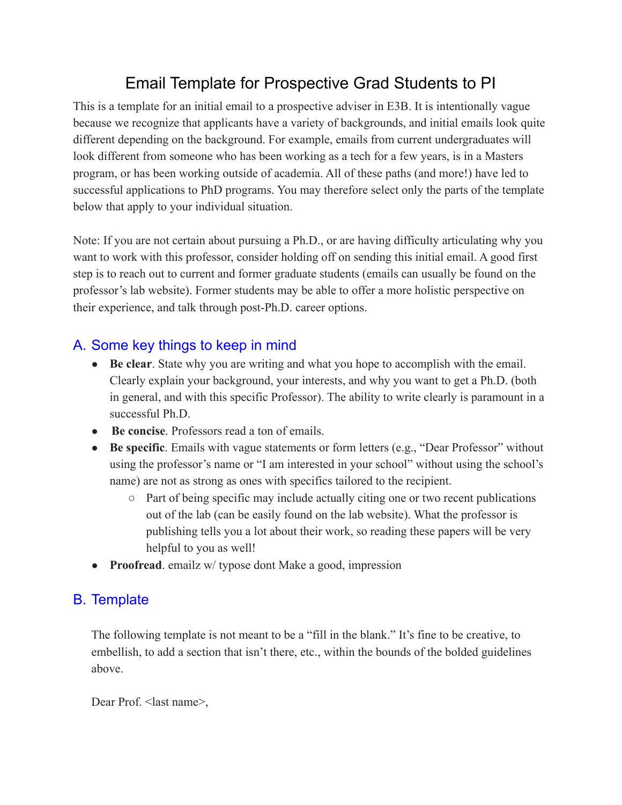# Email Template for Prospective Grad Students to PI

This is a template for an initial email to a prospective adviser in E3B. It is intentionally vague because we recognize that applicants have a variety of backgrounds, and initial emails look quite different depending on the background. For example, emails from current undergraduates will look different from someone who has been working as a tech for a few years, is in a Masters program, or has been working outside of academia. All of these paths (and more!) have led to successful applications to PhD programs. You may therefore select only the parts of the template below that apply to your individual situation.

Note: If you are not certain about pursuing a Ph.D., or are having difficulty articulating why you want to work with this professor, consider holding off on sending this initial email. A good first step is to reach out to current and former graduate students (emails can usually be found on the professor's lab website). Former students may be able to offer a more holistic perspective on their experience, and talk through post-Ph.D. career options.

# A. Some key things to keep in mind

- **Be clear**. State why you are writing and what you hope to accomplish with the email. Clearly explain your background, your interests, and why you want to get a Ph.D. (both in general, and with this specific Professor). The ability to write clearly is paramount in a successful Ph.D.
- **Be concise**. Professors read a ton of emails.
- **Be specific**. Emails with vague statements or form letters (e.g., "Dear Professor" without using the professor's name or "I am interested in your school" without using the school's name) are not as strong as ones with specifics tailored to the recipient.
	- Part of being specific may include actually citing one or two recent publications out of the lab (can be easily found on the lab website). What the professor is publishing tells you a lot about their work, so reading these papers will be very helpful to you as well!
- **Proofread**. emailz w/ typose dont Make a good, impression

# B. Template

The following template is not meant to be a "fill in the blank." It's fine to be creative, to embellish, to add a section that isn't there, etc., within the bounds of the bolded guidelines above.

Dear Prof. < last name>,